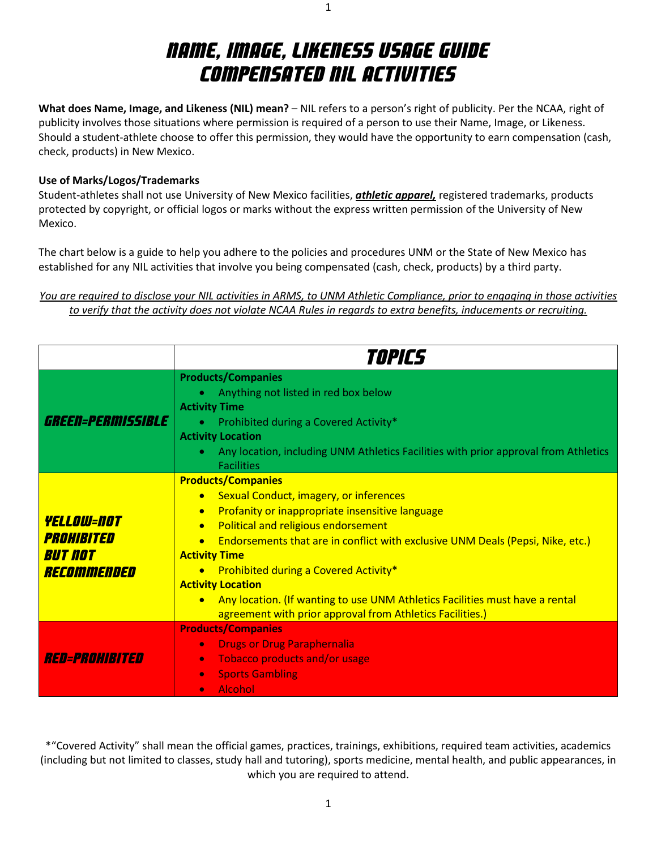# Name, Image, Likeness Usage Guide Compensated NIL Activities

1

**What does Name, Image, and Likeness (NIL) mean?** – NIL refers to a person's right of publicity. Per the NCAA, right of publicity involves those situations where permission is required of a person to use their Name, Image, or Likeness. Should a student-athlete choose to offer this permission, they would have the opportunity to earn compensation (cash, check, products) in New Mexico.

### **Use of Marks/Logos/Trademarks**

Student-athletes shall not use University of New Mexico facilities, *athletic apparel,* registered trademarks, products protected by copyright, or official logos or marks without the express written permission of the University of New Mexico.

The chart below is a guide to help you adhere to the policies and procedures UNM or the State of New Mexico has established for any NIL activities that involve you being compensated (cash, check, products) by a third party.

### *You are required to disclose your NIL activities in ARMS, to UNM Athletic Compliance, prior to engaging in those activities to verify that the activity does not violate NCAA Rules in regards to extra benefits, inducements or recruiting.*

|                                                                         | <i>TOPICS</i>                                                                                                                                                                                                                                                                                                                                                                                                                                                                                                                                      |
|-------------------------------------------------------------------------|----------------------------------------------------------------------------------------------------------------------------------------------------------------------------------------------------------------------------------------------------------------------------------------------------------------------------------------------------------------------------------------------------------------------------------------------------------------------------------------------------------------------------------------------------|
| GREEN=PERMISSIBLE                                                       | <b>Products/Companies</b><br>Anything not listed in red box below<br><b>Activity Time</b><br>Prohibited during a Covered Activity*<br><b>Activity Location</b><br>Any location, including UNM Athletics Facilities with prior approval from Athletics<br><b>Facilities</b>                                                                                                                                                                                                                                                                         |
| <i><b>YELLOW=NOT</b></i><br>PROHIBITED<br><b>But not</b><br>RECOMMENDED | <b>Products/Companies</b><br><b>Sexual Conduct, imagery, or inferences</b><br>$\bullet$<br>Profanity or inappropriate insensitive language<br>$\bullet$<br>Political and religious endorsement<br>$\bullet$<br><b>Endorsements that are in conflict with exclusive UNM Deals (Pepsi, Nike, etc.)</b><br><b>Activity Time</b><br>• Prohibited during a Covered Activity*<br><b>Activity Location</b><br>• Any location. (If wanting to use UNM Athletics Facilities must have a rental<br>agreement with prior approval from Athletics Facilities.) |
| <i>RED=PROHIBITED</i>                                                   | <b>Products/Companies</b><br><b>Drugs or Drug Paraphernalia</b><br>$\bullet$<br><b>Tobacco products and/or usage</b><br>$\bullet$<br><b>Sports Gambling</b><br>$\bullet$<br><b>Alcohol</b><br>$\bullet$                                                                                                                                                                                                                                                                                                                                            |

\*"Covered Activity" shall mean the official games, practices, trainings, exhibitions, required team activities, academics (including but not limited to classes, study hall and tutoring), sports medicine, mental health, and public appearances, in which you are required to attend.